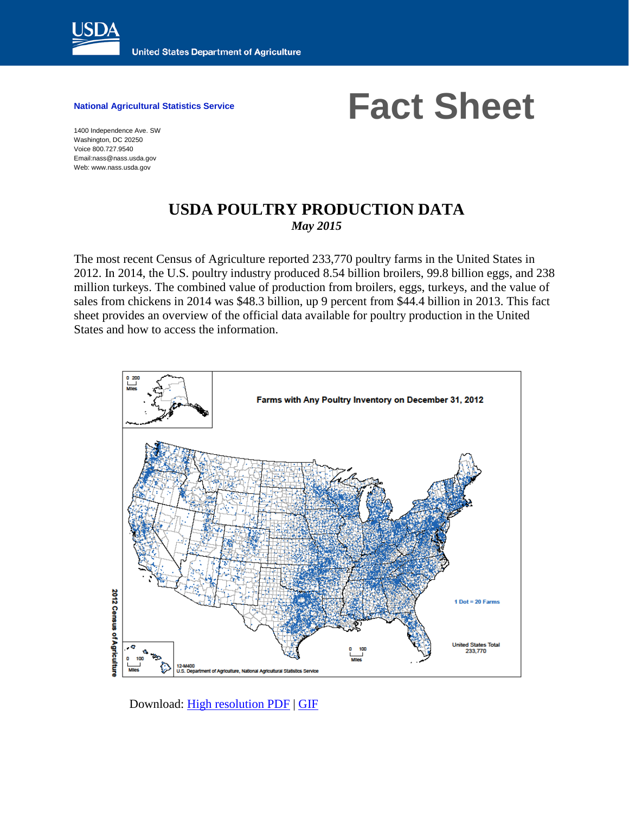

National Agricultural Statistics Service **Fact Sheet** 

1400 Independence Ave. SW Washington, DC 20250 Voice 800.727.9540 Email:nass@nass.usda.gov Web: www.nass.usda.gov

## **USDA POULTRY PRODUCTION DATA** *May 2015*

The most recent Census of Agriculture reported 233,770 poultry farms in the United States in 2012. In 2014, the U.S. poultry industry produced 8.54 billion broilers, 99.8 billion eggs, and 238 million turkeys. The combined value of production from broilers, eggs, turkeys, and the value of sales from chickens in 2014 was \$48.3 billion, up 9 percent from \$44.4 billion in 2013. This fact sheet provides an overview of the official data available for poultry production in the United States and how to access the information.



Download: [High resolution PDF](http://www.agcensus.usda.gov/Publications/2012/Online_Resources/Ag_Atlas_Maps/Livestock_and_Animals/Livestock,_Poultry_and_Other_Animals/12-M158-RGBDot1-largetext.pdf) | [GIF](http://www.agcensus.usda.gov/Publications/2012/Online_Resources/Ag_Atlas_Maps/Livestock_and_Animals/Livestock,_Poultry_and_Other_Animals/12-M400.php)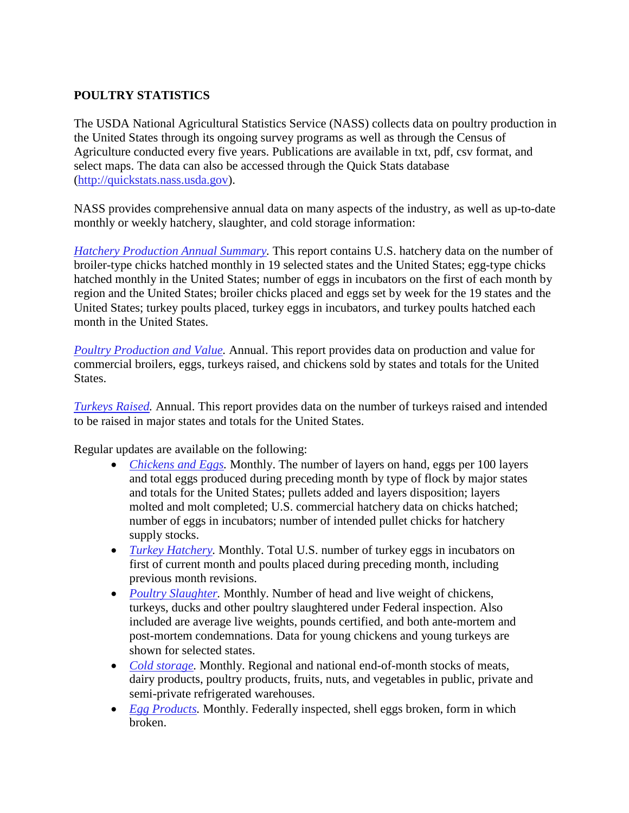## **POULTRY STATISTICS**

The USDA National Agricultural Statistics Service (NASS) collects data on poultry production in the United States through its ongoing survey programs as well as through the Census of Agriculture conducted every five years. Publications are available in txt, pdf, csv format, and select maps. The data can also be accessed through the Quick Stats database [\(http://quickstats.nass.usda.gov\)](http://quickstats.nass.usda.gov/).

NASS provides comprehensive annual data on many aspects of the industry, as well as up-to-date monthly or weekly hatchery, slaughter, and cold storage information:

*[Hatchery Production Annual Summary.](http://usda.mannlib.cornell.edu/MannUsda/viewDocumentInfo.do?documentID=1499)* This report contains U.S. hatchery data on the number of broiler-type chicks hatched monthly in 19 selected states and the United States; egg-type chicks hatched monthly in the United States; number of eggs in incubators on the first of each month by region and the United States; broiler chicks placed and eggs set by week for the 19 states and the United States; turkey poults placed, turkey eggs in incubators, and turkey poults hatched each month in the United States.

*[Poultry Production and Value.](http://usda.mannlib.cornell.edu/MannUsda/viewDocumentInfo.do?documentID=1130)* Annual. This report provides data on production and value for commercial broilers, eggs, turkeys raised, and chickens sold by states and totals for the United States.

*[Turkeys Raised.](http://usda.mannlib.cornell.edu/MannUsda/viewDocumentInfo.do?documentID=1498)* Annual. This report provides data on the number of turkeys raised and intended to be raised in major states and totals for the United States.

Regular updates are available on the following:

- *[Chickens and Eggs.](http://usda.mannlib.cornell.edu/MannUsda/viewDocumentInfo.do?documentID=1028)* Monthly. The number of layers on hand, eggs per 100 layers and total eggs produced during preceding month by type of flock by major states and totals for the United States; pullets added and layers disposition; layers molted and molt completed; U.S. commercial hatchery data on chicks hatched; number of eggs in incubators; number of intended pullet chicks for hatchery supply stocks.
- *Turkey Hatchery*. Monthly. Total U.S. number of turkey eggs in incubators on first of current month and poults placed during preceding month, including previous month revisions.
- *Poultry Slaughter*. Monthly. Number of head and live weight of chickens, turkeys, ducks and other poultry slaughtered under Federal inspection. Also included are average live weights, pounds certified, and both ante-mortem and post-mortem condemnations. Data for young chickens and young turkeys are shown for selected states.
- *[Cold storage.](http://usda.mannlib.cornell.edu/MannUsda/viewDocumentInfo.do?documentID=1034)* Monthly. Regional and national end-of-month stocks of meats, dairy products, poultry products, fruits, nuts, and vegetables in public, private and semi-private refrigerated warehouses.
- *[Egg Products.](http://usda.mannlib.cornell.edu/MannUsda/viewDocumentInfo.do?documentID=1057)* Monthly. Federally inspected, shell eggs broken, form in which broken.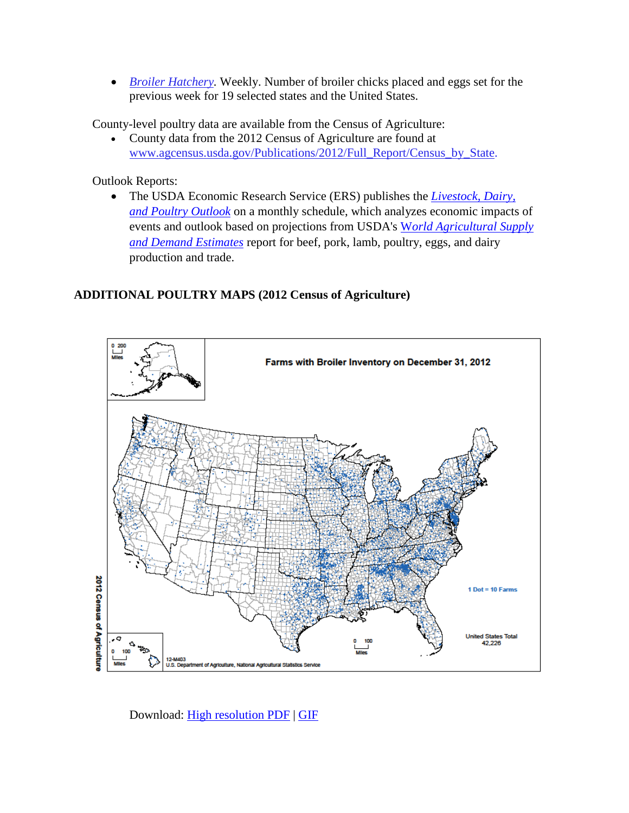• *Broiler Hatchery*. Weekly. Number of broiler chicks placed and eggs set for the previous week for 19 selected states and the United States.

County-level poultry data are available from the Census of Agriculture:

• County data from the 2012 Census of Agriculture are found at [www.agcensus.usda.gov/Publications/2012/Full\\_Report/Census\\_by\\_State.](http://www.agcensus.usda.gov/Publications/2012/Full_Report/Census_by_State)

Outlook Reports:

• The USDA Economic Research Service (ERS) publishes the *[Livestock, Dairy,](http://www.ers.usda.gov/publications/ldpm-livestock,-dairy,-and-poultry-outlook.aspx)  [and Poultry Outlook](http://www.ers.usda.gov/publications/ldpm-livestock,-dairy,-and-poultry-outlook.aspx)* on a monthly schedule, which analyzes economic impacts of events and outlook based on projections from USDA's W*[orld Agricultural Supply](http://www.usda.gov/oce/commodity/wasde/)  [and Demand Estimates](http://www.usda.gov/oce/commodity/wasde/)* report for beef, pork, lamb, poultry, eggs, and dairy production and trade.

## **ADDITIONAL POULTRY MAPS (2012 Census of Agriculture)**



Download: [High resolution PDF](http://www.agcensus.usda.gov/Publications/2012/Online_Resources/Ag_Atlas_Maps/Livestock_and_Animals/Livestock,_Poultry_and_Other_Animals/12-M403-RGBDot1-largetext.pdf) | [GIF](http://www.agcensus.usda.gov/Publications/2012/Online_Resources/Ag_Atlas_Maps/Livestock_and_Animals/Livestock,_Poultry_and_Other_Animals/12-M403.php)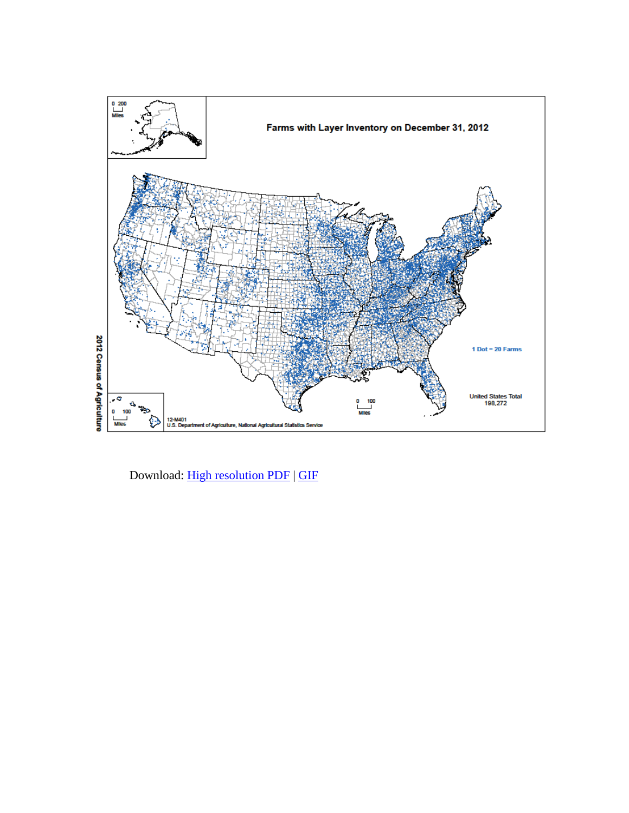

Download: [High resolution PDF](http://www.agcensus.usda.gov/Publications/2012/Online_Resources/Ag_Atlas_Maps/Livestock_and_Animals/Livestock,_Poultry_and_Other_Animals/12-M401-RGBDot1-largetext.pdf) | [GIF](http://www.agcensus.usda.gov/Publications/2012/Online_Resources/Ag_Atlas_Maps/Livestock_and_Animals/Livestock,_Poultry_and_Other_Animals/12-M401.php)